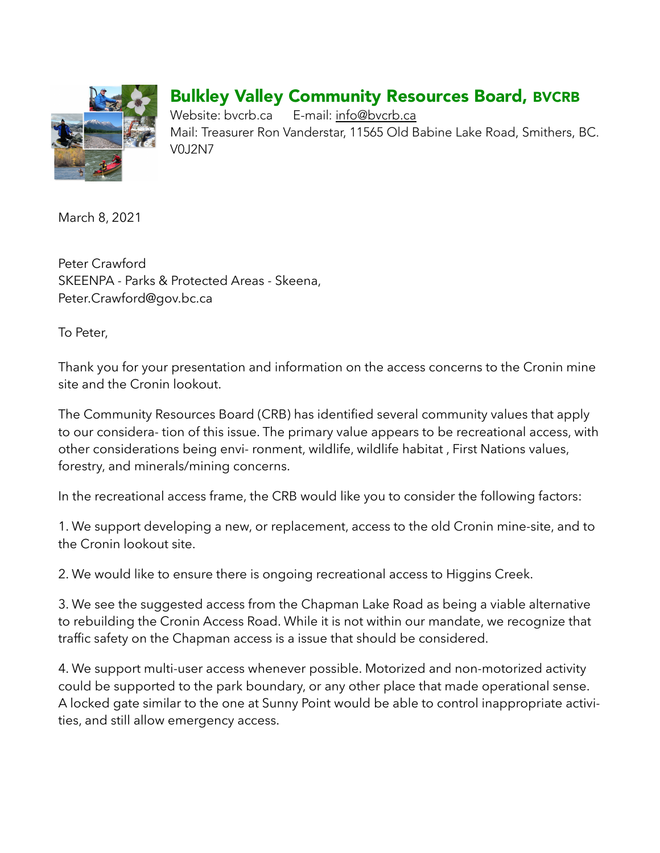

## Bulkley Valley Community Resources Board, BVCRB

Website: bvcrb.ca E-mail: [info@bvcrb.ca](mailto:info@bvcrb.ca) Mail: Treasurer Ron Vanderstar, 11565 Old Babine Lake Road, Smithers, BC. V0J2N7

March 8, 2021

Peter Crawford SKEENPA - Parks & Protected Areas - Skeena, Peter.Crawford@gov.bc.ca

To Peter,

Thank you for your presentation and information on the access concerns to the Cronin mine site and the Cronin lookout.

The Community Resources Board (CRB) has identified several community values that apply to our considera- tion of this issue. The primary value appears to be recreational access, with other considerations being envi- ronment, wildlife, wildlife habitat , First Nations values, forestry, and minerals/mining concerns.

In the recreational access frame, the CRB would like you to consider the following factors:

1. We support developing a new, or replacement, access to the old Cronin mine-site, and to the Cronin lookout site.

2. We would like to ensure there is ongoing recreational access to Higgins Creek.

3. We see the suggested access from the Chapman Lake Road as being a viable alternative to rebuilding the Cronin Access Road. While it is not within our mandate, we recognize that traffic safety on the Chapman access is a issue that should be considered.

4. We support multi-user access whenever possible. Motorized and non-motorized activity could be supported to the park boundary, or any other place that made operational sense. A locked gate similar to the one at Sunny Point would be able to control inappropriate activities, and still allow emergency access.